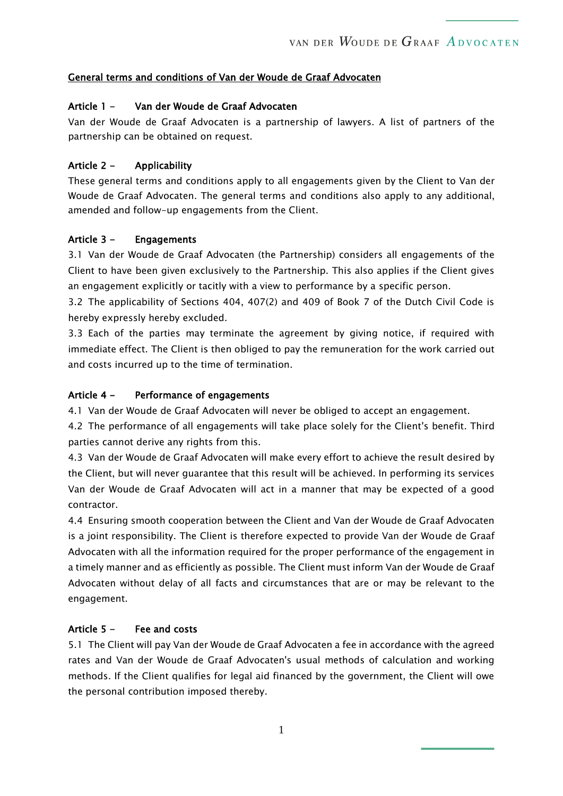#### General terms and conditions of Van der Woude de Graaf Advocaten

#### Article 1 - Van der Woude de Graaf Advocaten

Van der Woude de Graaf Advocaten is a partnership of lawyers. A list of partners of the partnership can be obtained on request.

#### Article 2 - Applicability

These general terms and conditions apply to all engagements given by the Client to Van der Woude de Graaf Advocaten. The general terms and conditions also apply to any additional, amended and follow-up engagements from the Client.

#### Article 3 - Engagements

3.1 Van der Woude de Graaf Advocaten (the Partnership) considers all engagements of the Client to have been given exclusively to the Partnership. This also applies if the Client gives an engagement explicitly or tacitly with a view to performance by a specific person.

3.2 The applicability of Sections 404, 407(2) and 409 of Book 7 of the Dutch Civil Code is hereby expressly hereby excluded.

3.3 Each of the parties may terminate the agreement by giving notice, if required with immediate effect. The Client is then obliged to pay the remuneration for the work carried out and costs incurred up to the time of termination.

#### Article 4 - Performance of engagements

4.1 Van der Woude de Graaf Advocaten will never be obliged to accept an engagement.

4.2 The performance of all engagements will take place solely for the Client's benefit. Third parties cannot derive any rights from this.

4.3 Van der Woude de Graaf Advocaten will make every effort to achieve the result desired by the Client, but will never guarantee that this result will be achieved. In performing its services Van der Woude de Graaf Advocaten will act in a manner that may be expected of a good contractor.

4.4 Ensuring smooth cooperation between the Client and Van der Woude de Graaf Advocaten is a joint responsibility. The Client is therefore expected to provide Van der Woude de Graaf Advocaten with all the information required for the proper performance of the engagement in a timely manner and as efficiently as possible. The Client must inform Van der Woude de Graaf Advocaten without delay of all facts and circumstances that are or may be relevant to the engagement.

#### Article 5 - Fee and costs

5.1 The Client will pay Van der Woude de Graaf Advocaten a fee in accordance with the agreed rates and Van der Woude de Graaf Advocaten's usual methods of calculation and working methods. If the Client qualifies for legal aid financed by the government, the Client will owe the personal contribution imposed thereby.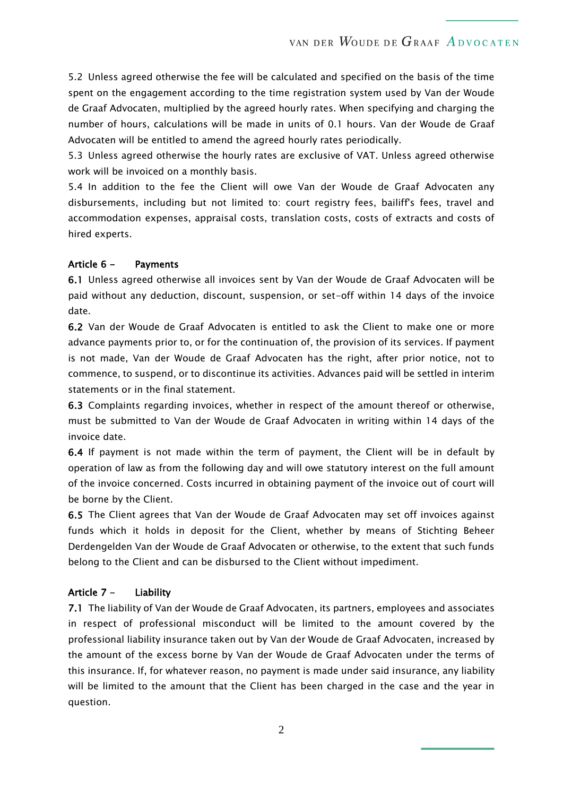## VAN DER WOUDE DE GRAAF ADVOCATEN

5.2 Unless agreed otherwise the fee will be calculated and specified on the basis of the time spent on the engagement according to the time registration system used by Van der Woude de Graaf Advocaten, multiplied by the agreed hourly rates. When specifying and charging the number of hours, calculations will be made in units of 0.1 hours. Van der Woude de Graaf Advocaten will be entitled to amend the agreed hourly rates periodically.

5.3 Unless agreed otherwise the hourly rates are exclusive of VAT. Unless agreed otherwise work will be invoiced on a monthly basis.

5.4 In addition to the fee the Client will owe Van der Woude de Graaf Advocaten any disbursements, including but not limited to: court registry fees, bailiff's fees, travel and accommodation expenses, appraisal costs, translation costs, costs of extracts and costs of hired experts.

#### Article 6 - Payments

6.1 Unless agreed otherwise all invoices sent by Van der Woude de Graaf Advocaten will be paid without any deduction, discount, suspension, or set-off within 14 days of the invoice date.

6.2 Van der Woude de Graaf Advocaten is entitled to ask the Client to make one or more advance payments prior to, or for the continuation of, the provision of its services. If payment is not made, Van der Woude de Graaf Advocaten has the right, after prior notice, not to commence, to suspend, or to discontinue its activities. Advances paid will be settled in interim statements or in the final statement.

6.3 Complaints regarding invoices, whether in respect of the amount thereof or otherwise, must be submitted to Van der Woude de Graaf Advocaten in writing within 14 days of the invoice date.

6.4 If payment is not made within the term of payment, the Client will be in default by operation of law as from the following day and will owe statutory interest on the full amount of the invoice concerned. Costs incurred in obtaining payment of the invoice out of court will be borne by the Client.

6.5 The Client agrees that Van der Woude de Graaf Advocaten may set off invoices against funds which it holds in deposit for the Client, whether by means of Stichting Beheer Derdengelden Van der Woude de Graaf Advocaten or otherwise, to the extent that such funds belong to the Client and can be disbursed to the Client without impediment.

#### Article 7 - Liability

7.1 The liability of Van der Woude de Graaf Advocaten, its partners, employees and associates in respect of professional misconduct will be limited to the amount covered by the professional liability insurance taken out by Van der Woude de Graaf Advocaten, increased by the amount of the excess borne by Van der Woude de Graaf Advocaten under the terms of this insurance. If, for whatever reason, no payment is made under said insurance, any liability will be limited to the amount that the Client has been charged in the case and the year in question.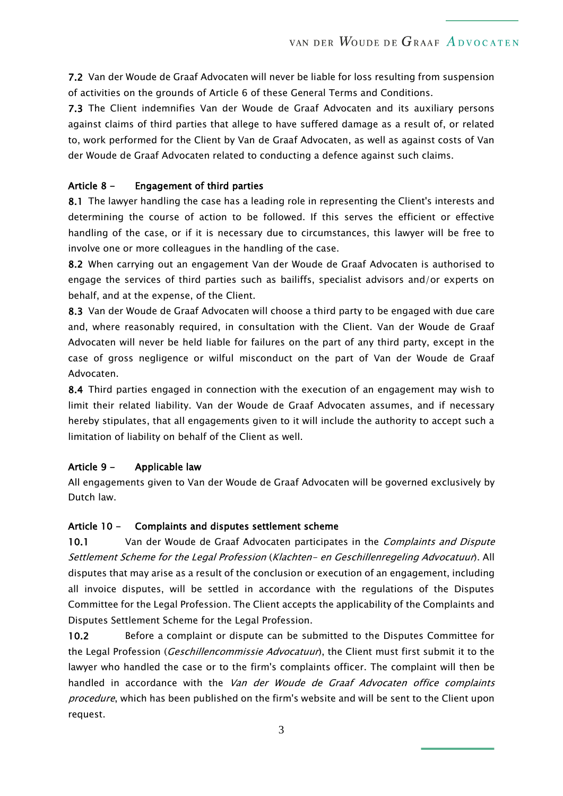7.2 Van der Woude de Graaf Advocaten will never be liable for loss resulting from suspension of activities on the grounds of Article 6 of these General Terms and Conditions.

7.3 The Client indemnifies Van der Woude de Graaf Advocaten and its auxiliary persons against claims of third parties that allege to have suffered damage as a result of, or related to, work performed for the Client by Van de Graaf Advocaten, as well as against costs of Van der Woude de Graaf Advocaten related to conducting a defence against such claims.

### Article 8 - Engagement of third parties

8.1 The lawyer handling the case has a leading role in representing the Client's interests and determining the course of action to be followed. If this serves the efficient or effective handling of the case, or if it is necessary due to circumstances, this lawyer will be free to involve one or more colleagues in the handling of the case.

8.2 When carrying out an engagement Van der Woude de Graaf Advocaten is authorised to engage the services of third parties such as bailiffs, specialist advisors and/or experts on behalf, and at the expense, of the Client.

8.3 Van der Woude de Graaf Advocaten will choose a third party to be engaged with due care and, where reasonably required, in consultation with the Client. Van der Woude de Graaf Advocaten will never be held liable for failures on the part of any third party, except in the case of gross negligence or wilful misconduct on the part of Van der Woude de Graaf Advocaten.

8.4 Third parties engaged in connection with the execution of an engagement may wish to limit their related liability. Van der Woude de Graaf Advocaten assumes, and if necessary hereby stipulates, that all engagements given to it will include the authority to accept such a limitation of liability on behalf of the Client as well.

#### Article 9 - Applicable law

All engagements given to Van der Woude de Graaf Advocaten will be governed exclusively by Dutch law.

#### Article 10 - Complaints and disputes settlement scheme

10.1 Van der Woude de Graaf Advocaten participates in the *Complaints and Dispute* Settlement Scheme for the Legal Profession (Klachten- en Geschillenregeling Advocatuur). All disputes that may arise as a result of the conclusion or execution of an engagement, including all invoice disputes, will be settled in accordance with the regulations of the Disputes Committee for the Legal Profession. The Client accepts the applicability of the Complaints and Disputes Settlement Scheme for the Legal Profession.

10.2 Before a complaint or dispute can be submitted to the Disputes Committee for the Legal Profession (Geschillencommissie Advocatuur), the Client must first submit it to the lawyer who handled the case or to the firm's complaints officer. The complaint will then be handled in accordance with the Van der Woude de Graaf Advocaten office complaints procedure, which has been published on the firm's website and will be sent to the Client upon request.

3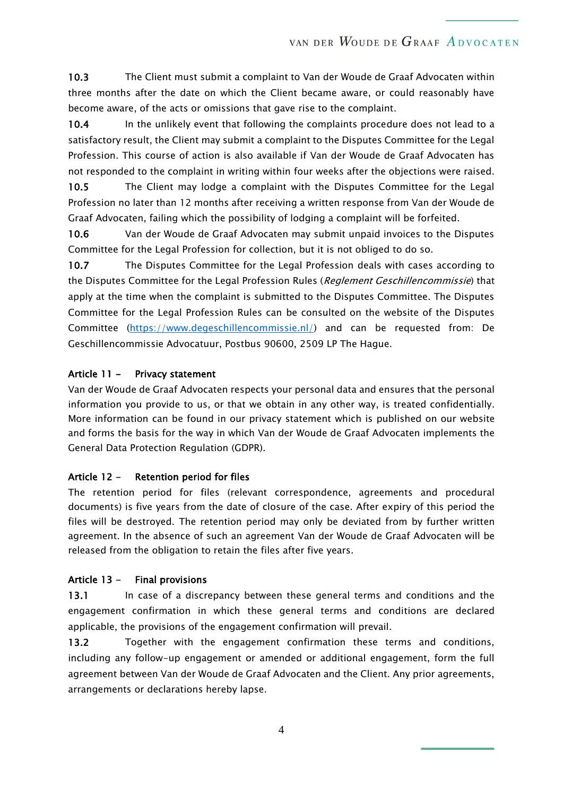10.3 The Client must submit a complaint to Van der Woude de Graaf Advocaten within three months after the date on which the Client became aware, or could reasonably have become aware, of the acts or omissions that gave rise to the complaint.

10.4 In the unlikely event that following the complaints procedure does not lead to a satisfactory result, the Client may submit a complaint to the Disputes Committee for the Legal Profession. This course of action is also available if Van der Woude de Graaf Advocaten has not responded to the complaint in writing within four weeks after the objections were raised.

10.5 The Client may lodge a complaint with the Disputes Committee for the Legal Profession no later than 12 months after receiving a written response from Van der Woude de Graaf Advocaten, failing which the possibility of lodging a complaint will be forfeited.

10.6 Van der Woude de Graaf Advocaten may submit unpaid invoices to the Disputes Committee for the Legal Profession for collection, but it is not obliged to do so.

10.7 The Disputes Committee for the Legal Profession deals with cases according to the Disputes Committee for the Legal Profession Rules (Reglement Geschillencommissie) that apply at the time when the complaint is submitted to the Disputes Committee. The Disputes Committee for the Legal Profession Rules can be consulted on the website of the Disputes Committee [\(https://www.degeschillencommissie.nl/\)](https://www.degeschillencommissie.nl/) and can be requested from: De Geschillencommissie Advocatuur, Postbus 90600, 2509 LP The Hague.

#### Article 11 - Privacy statement

Van der Woude de Graaf Advocaten respects your personal data and ensures that the personal information you provide to us, or that we obtain in any other way, is treated confidentially. More information can be found in our privacy statement which is published on our website and forms the basis for the way in which Van der Woude de Graaf Advocaten implements the General Data Protection Regulation (GDPR).

#### Article 12 - Retention period for files

The retention period for files (relevant correspondence, agreements and procedural documents) is five years from the date of closure of the case. After expiry of this period the files will be destroyed. The retention period may only be deviated from by further written agreement. In the absence of such an agreement Van der Woude de Graaf Advocaten will be released from the obligation to retain the files after five years.

#### Article 13 - Final provisions

13.1 In case of a discrepancy between these general terms and conditions and the engagement confirmation in which these general terms and conditions are declared applicable, the provisions of the engagement confirmation will prevail.

13.2 Together with the engagement confirmation these terms and conditions, including any follow-up engagement or amended or additional engagement, form the full agreement between Van der Woude de Graaf Advocaten and the Client. Any prior agreements, arrangements or declarations hereby lapse.